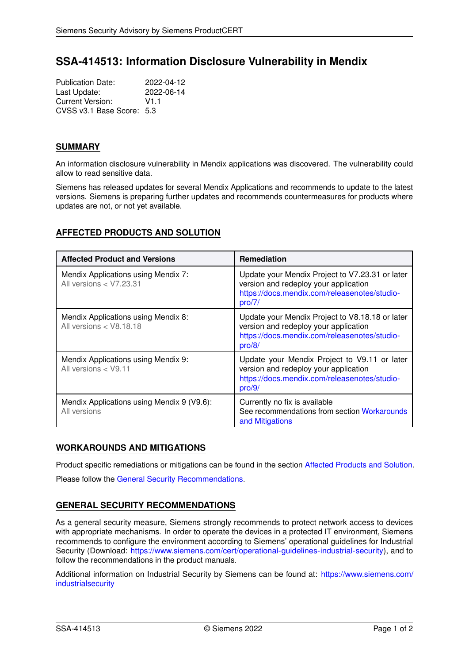# **SSA-414513: Information Disclosure Vulnerability in Mendix**

| <b>Publication Date:</b>  | 2022-04-12 |
|---------------------------|------------|
| Last Update:              | 2022-06-14 |
| Current Version:          | V1 1       |
| CVSS v3.1 Base Score: 5.3 |            |

## **SUMMARY**

An information disclosure vulnerability in Mendix applications was discovered. The vulnerability could allow to read sensitive data.

Siemens has released updates for several Mendix Applications and recommends to update to the latest versions. Siemens is preparing further updates and recommends countermeasures for products where updates are not, or not yet available.

# <span id="page-0-1"></span>**AFFECTED PRODUCTS AND SOLUTION**

| <b>Affected Product and Versions</b>                             | Remediation                                                                                                                                        |
|------------------------------------------------------------------|----------------------------------------------------------------------------------------------------------------------------------------------------|
| Mendix Applications using Mendix 7:<br>All versions $<$ V7.23.31 | Update your Mendix Project to V7.23.31 or later<br>version and redeploy your application<br>https://docs.mendix.com/releasenotes/studio-<br>pro/7/ |
| Mendix Applications using Mendix 8:<br>All versions $<$ V8.18.18 | Update your Mendix Project to V8.18.18 or later<br>version and redeploy your application<br>https://docs.mendix.com/releasenotes/studio-<br>pro/8/ |
| Mendix Applications using Mendix 9:<br>All versions < V9.11      | Update your Mendix Project to V9.11 or later<br>version and redeploy your application<br>https://docs.mendix.com/releasenotes/studio-<br>pro/9/    |
| Mendix Applications using Mendix 9 (V9.6):<br>All versions       | Currently no fix is available<br>See recommendations from section Workarounds<br>and Mitigations                                                   |

# <span id="page-0-0"></span>**WORKAROUNDS AND MITIGATIONS**

Product specific remediations or mitigations can be found in the section [Affected Products and Solution.](#page-0-1) Please follow the [General Security Recommendations.](#page-0-2)

# <span id="page-0-2"></span>**GENERAL SECURITY RECOMMENDATIONS**

As a general security measure, Siemens strongly recommends to protect network access to devices with appropriate mechanisms. In order to operate the devices in a protected IT environment, Siemens recommends to configure the environment according to Siemens' operational guidelines for Industrial Security (Download: [https://www.siemens.com/cert/operational-guidelines-industrial-security\)](https://www.siemens.com/cert/operational-guidelines-industrial-security), and to follow the recommendations in the product manuals.

Additional information on Industrial Security by Siemens can be found at: [https://www.siemens.com/](https://www.siemens.com/industrialsecurity) [industrialsecurity](https://www.siemens.com/industrialsecurity)